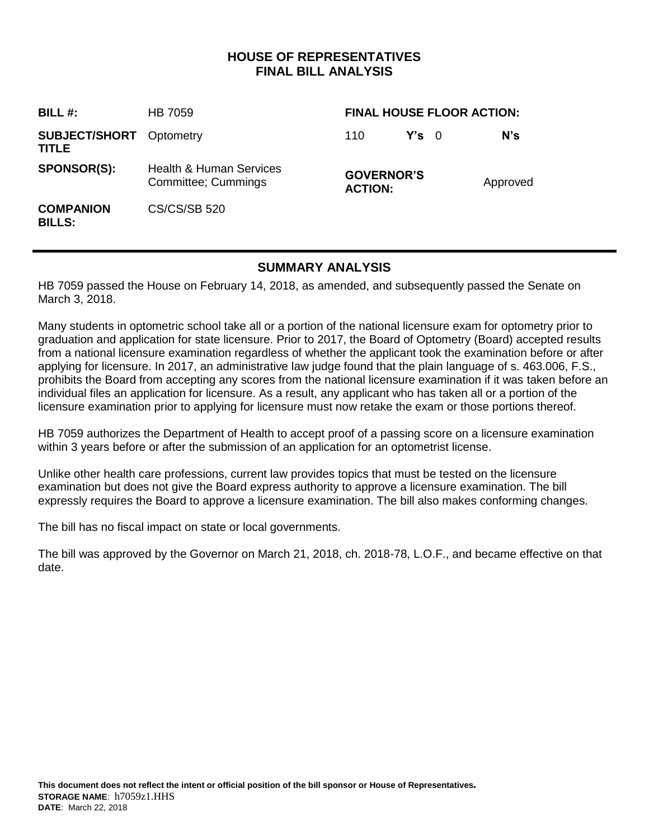# **HOUSE OF REPRESENTATIVES FINAL BILL ANALYSIS**

| <b>BILL#:</b>                           | <b>HB 7059</b>                                            | <b>FINAL HOUSE FLOOR ACTION:</b>    |               |  |          |
|-----------------------------------------|-----------------------------------------------------------|-------------------------------------|---------------|--|----------|
| <b>SUBJECT/SHORT</b> Optometry<br>TITLE |                                                           | 110                                 | $Y's \quad 0$ |  | N's      |
| <b>SPONSOR(S):</b>                      | <b>Health &amp; Human Services</b><br>Committee; Cummings | <b>GOVERNOR'S</b><br><b>ACTION:</b> |               |  | Approved |
| <b>COMPANION</b><br><b>BILLS:</b>       | <b>CS/CS/SB 520</b>                                       |                                     |               |  |          |

## **SUMMARY ANALYSIS**

HB 7059 passed the House on February 14, 2018, as amended, and subsequently passed the Senate on March 3, 2018.

Many students in optometric school take all or a portion of the national licensure exam for optometry prior to graduation and application for state licensure. Prior to 2017, the Board of Optometry (Board) accepted results from a national licensure examination regardless of whether the applicant took the examination before or after applying for licensure. In 2017, an administrative law judge found that the plain language of s. 463.006, F.S., prohibits the Board from accepting any scores from the national licensure examination if it was taken before an individual files an application for licensure. As a result, any applicant who has taken all or a portion of the licensure examination prior to applying for licensure must now retake the exam or those portions thereof.

HB 7059 authorizes the Department of Health to accept proof of a passing score on a licensure examination within 3 years before or after the submission of an application for an optometrist license.

Unlike other health care professions, current law provides topics that must be tested on the licensure examination but does not give the Board express authority to approve a licensure examination. The bill expressly requires the Board to approve a licensure examination. The bill also makes conforming changes.

The bill has no fiscal impact on state or local governments.

The bill was approved by the Governor on March 21, 2018, ch. 2018-78, L.O.F., and became effective on that date.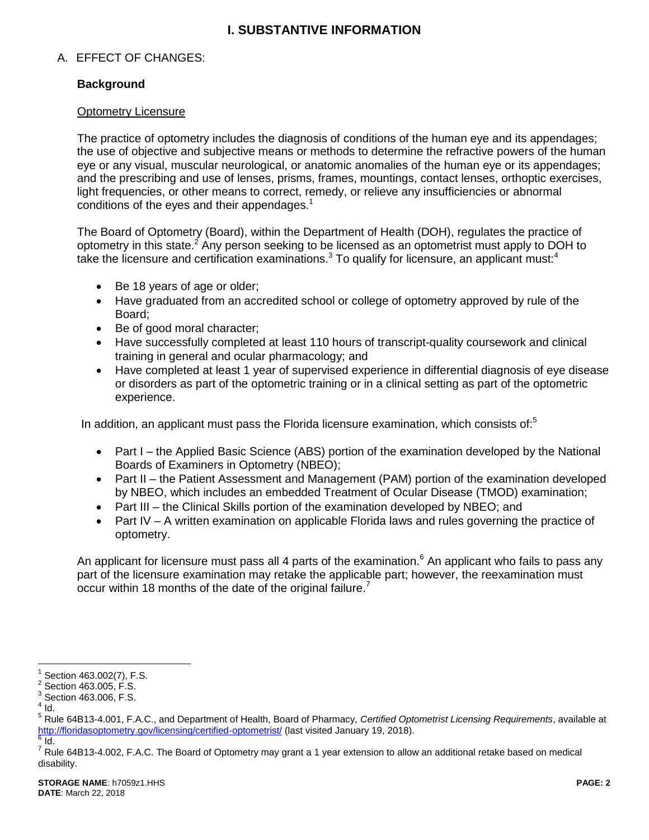# **I. SUBSTANTIVE INFORMATION**

### A. EFFECT OF CHANGES:

### **Background**

#### Optometry Licensure

The practice of optometry includes the diagnosis of conditions of the human eye and its appendages; the use of objective and subjective means or methods to determine the refractive powers of the human eye or any visual, muscular neurological, or anatomic anomalies of the human eye or its appendages; and the prescribing and use of lenses, prisms, frames, mountings, contact lenses, orthoptic exercises, light frequencies, or other means to correct, remedy, or relieve any insufficiencies or abnormal conditions of the eyes and their appendages.<sup>1</sup>

The Board of Optometry (Board), within the Department of Health (DOH), regulates the practice of optometry in this state.<sup>2</sup> Any person seeking to be licensed as an optometrist must apply to DOH to take the licensure and certification examinations. $3$  To qualify for licensure, an applicant must: $4$ 

- Be 18 years of age or older;
- Have graduated from an accredited school or college of optometry approved by rule of the Board;
- Be of good moral character;
- Have successfully completed at least 110 hours of transcript-quality coursework and clinical training in general and ocular pharmacology; and
- Have completed at least 1 year of supervised experience in differential diagnosis of eye disease or disorders as part of the optometric training or in a clinical setting as part of the optometric experience.

In addition, an applicant must pass the Florida licensure examination, which consists of: $5$ 

- Part I the Applied Basic Science (ABS) portion of the examination developed by the National Boards of Examiners in Optometry (NBEO);
- Part II the Patient Assessment and Management (PAM) portion of the examination developed by NBEO, which includes an embedded Treatment of Ocular Disease (TMOD) examination;
- Part III the Clinical Skills portion of the examination developed by NBEO; and
- Part IV A written examination on applicable Florida laws and rules governing the practice of optometry.

An applicant for licensure must pass all 4 parts of the examination.<sup>6</sup> An applicant who fails to pass any part of the licensure examination may retake the applicable part; however, the reexamination must occur within 18 months of the date of the original failure.<sup>7</sup>

 $\overline{a}$ 

<sup>1</sup> Section 463.002(7), F.S.

 $2$  Section 463.005, F.S.

 $3$  Section 463.006, F.S.

 $<sup>4</sup>$  Id.</sup>

<sup>5</sup> Rule 64B13-4.001, F.A.C., and Department of Health, Board of Pharmacy, *Certified Optometrist Licensing Requirements*, available at <http://floridasoptometry.gov/licensing/certified-optometrist/> (last visited January 19, 2018).

 $^6$  Id.

 $^7$  Rule 64B13-4.002, F.A.C. The Board of Optometry may grant a 1 year extension to allow an additional retake based on medical disability.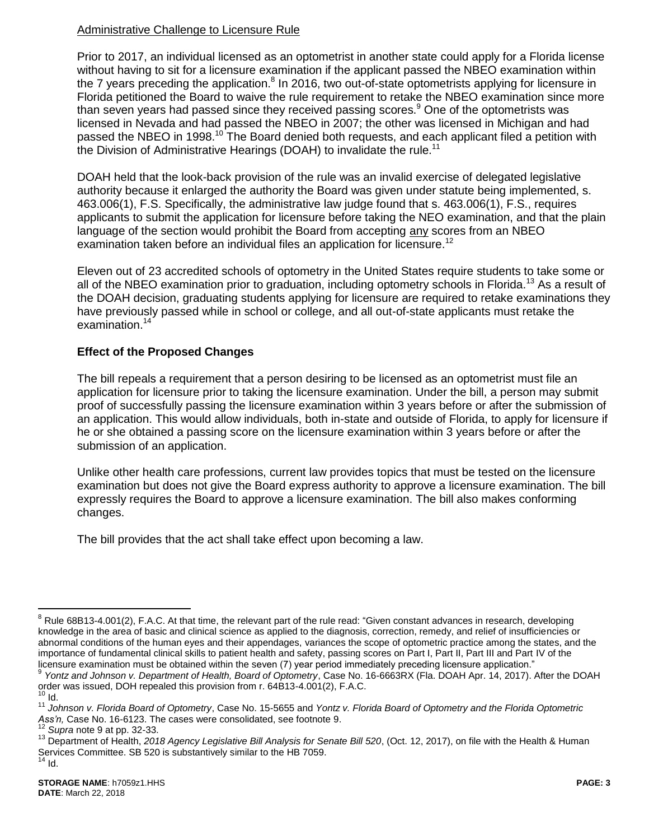## Administrative Challenge to Licensure Rule

<span id="page-2-0"></span>Prior to 2017, an individual licensed as an optometrist in another state could apply for a Florida license without having to sit for a licensure examination if the applicant passed the NBEO examination within the 7 years preceding the application.<sup>8</sup> In 2016, two out-of-state optometrists applying for licensure in Florida petitioned the Board to waive the rule requirement to retake the NBEO examination since more than seven years had passed since they received passing scores.<sup>9</sup> One of the optometrists was licensed in Nevada and had passed the NBEO in 2007; the other was licensed in Michigan and had passed the NBEO in 1998.<sup>10</sup> The Board denied both requests, and each applicant filed a petition with the Division of Administrative Hearings (DOAH) to invalidate the rule.<sup>11</sup>

DOAH held that the look-back provision of the rule was an invalid exercise of delegated legislative authority because it enlarged the authority the Board was given under statute being implemented, s. 463.006(1), F.S. Specifically, the administrative law judge found that s. 463.006(1), F.S., requires applicants to submit the application for licensure before taking the NEO examination, and that the plain language of the section would prohibit the Board from accepting any scores from an NBEO examination taken before an individual files an application for licensure.<sup>12</sup>

Eleven out of 23 accredited schools of optometry in the United States require students to take some or all of the NBEO examination prior to graduation, including optometry schools in Florida.<sup>13</sup> As a result of the DOAH decision, graduating students applying for licensure are required to retake examinations they have previously passed while in school or college, and all out-of-state applicants must retake the examination.<sup>14</sup>

### **Effect of the Proposed Changes**

The bill repeals a requirement that a person desiring to be licensed as an optometrist must file an application for licensure prior to taking the licensure examination. Under the bill, a person may submit proof of successfully passing the licensure examination within 3 years before or after the submission of an application. This would allow individuals, both in-state and outside of Florida, to apply for licensure if he or she obtained a passing score on the licensure examination within 3 years before or after the submission of an application.

Unlike other health care professions, current law provides topics that must be tested on the licensure examination but does not give the Board express authority to approve a licensure examination. The bill expressly requires the Board to approve a licensure examination. The bill also makes conforming changes.

The bill provides that the act shall take effect upon becoming a law.

 $\overline{a}$ 

<sup>&</sup>lt;sup>8</sup> Rule 68B13-4.001(2), F.A.C. At that time, the relevant part of the rule read: "Given constant advances in research, developing knowledge in the area of basic and clinical science as applied to the diagnosis, correction, remedy, and relief of insufficiencies or abnormal conditions of the human eyes and their appendages, variances the scope of optometric practice among the states, and the importance of fundamental clinical skills to patient health and safety, passing scores on Part I, Part II, Part III and Part IV of the licensure examination must be obtained within the seven (7) year period immediately preceding licensure application."

<sup>9</sup> *Yontz and Johnson v. Department of Health, Board of Optometry*, Case No. 16-6663RX (Fla. DOAH Apr. 14, 2017). After the DOAH order was issued, DOH repealed this provision from r. 64B13-4.001(2), F.A.C.  $10$  Id.

<sup>11</sup> *Johnson v. Florida Board of Optometry*, Case No. 15-5655 and *Yontz v. Florida Board of Optometry and the Florida Optometric Ass'n,* Case No. 16-6123. The cases were consolidated, see footnote [9.](#page-2-0)

<sup>12</sup> *Supra* not[e 9](#page-2-0) at pp. 32-33.

<sup>&</sup>lt;sup>13</sup> Department of Health, 2018 Agency Legislative Bill Analysis for Senate Bill 520, (Oct. 12, 2017), on file with the Health & Human Services Committee. SB 520 is substantively similar to the HB 7059.  $14$  Id.